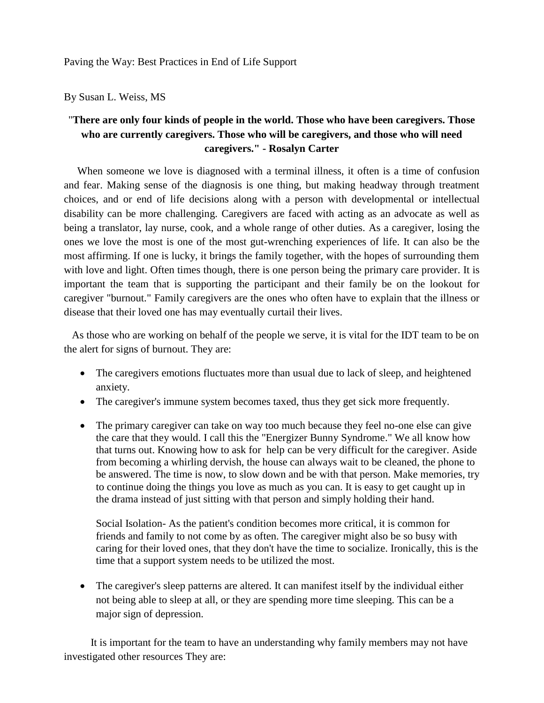#### By Susan L. Weiss, MS

# "**There are only four kinds of people in the world. Those who have been caregivers. Those who are currently caregivers. Those who will be caregivers, and those who will need caregivers." - Rosalyn Carter**

When someone we love is diagnosed with a terminal illness, it often is a time of confusion and fear. Making sense of the diagnosis is one thing, but making headway through treatment choices, and or end of life decisions along with a person with developmental or intellectual disability can be more challenging. Caregivers are faced with acting as an advocate as well as being a translator, lay nurse, cook, and a whole range of other duties. As a caregiver, losing the ones we love the most is one of the most gut-wrenching experiences of life. It can also be the most affirming. If one is lucky, it brings the family together, with the hopes of surrounding them with love and light. Often times though, there is one person being the primary care provider. It is important the team that is supporting the participant and their family be on the lookout for caregiver "burnout." Family caregivers are the ones who often have to explain that the illness or disease that their loved one has may eventually curtail their lives.

 As those who are working on behalf of the people we serve, it is vital for the IDT team to be on the alert for signs of burnout. They are:

- The caregivers emotions fluctuates more than usual due to lack of sleep, and heightened anxiety.
- The caregiver's immune system becomes taxed, thus they get sick more frequently.
- The primary caregiver can take on way too much because they feel no-one else can give the care that they would. I call this the "Energizer Bunny Syndrome." We all know how that turns out. Knowing how to ask for help can be very difficult for the caregiver. Aside from becoming a whirling dervish, the house can always wait to be cleaned, the phone to be answered. The time is now, to slow down and be with that person. Make memories, try to continue doing the things you love as much as you can. It is easy to get caught up in the drama instead of just sitting with that person and simply holding their hand.

Social Isolation- As the patient's condition becomes more critical, it is common for friends and family to not come by as often. The caregiver might also be so busy with caring for their loved ones, that they don't have the time to socialize. Ironically, this is the time that a support system needs to be utilized the most.

• The caregiver's sleep patterns are altered. It can manifest itself by the individual either not being able to sleep at all, or they are spending more time sleeping. This can be a major sign of depression.

 It is important for the team to have an understanding why family members may not have investigated other resources They are: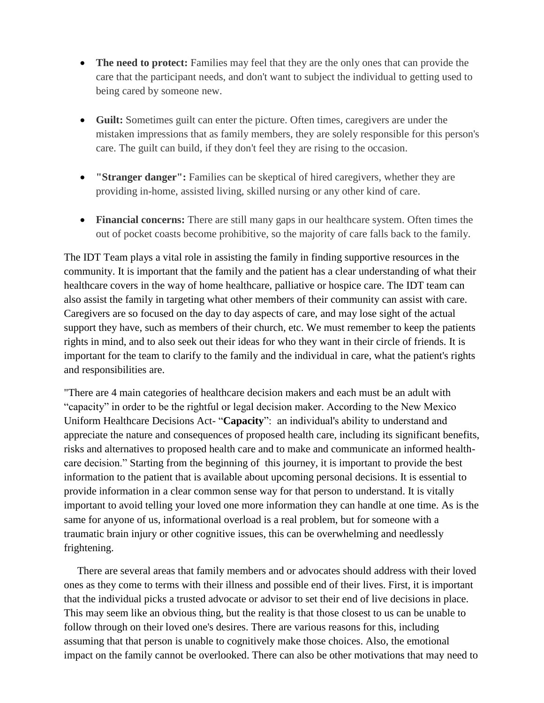- **The need to protect:** Families may feel that they are the only ones that can provide the care that the participant needs, and don't want to subject the individual to getting used to being cared by someone new.
- **Guilt:** Sometimes guilt can enter the picture. Often times, caregivers are under the mistaken impressions that as family members, they are solely responsible for this person's care. The guilt can build, if they don't feel they are rising to the occasion.
- **"Stranger danger":** Families can be skeptical of hired caregivers, whether they are providing in-home, assisted living, skilled nursing or any other kind of care.
- **Financial concerns:** There are still many gaps in our healthcare system. Often times the out of pocket coasts become prohibitive, so the majority of care falls back to the family.

The IDT Team plays a vital role in assisting the family in finding supportive resources in the community. It is important that the family and the patient has a clear understanding of what their healthcare covers in the way of home healthcare, palliative or hospice care. The IDT team can also assist the family in targeting what other members of their community can assist with care. Caregivers are so focused on the day to day aspects of care, and may lose sight of the actual support they have, such as members of their church, etc. We must remember to keep the patients rights in mind, and to also seek out their ideas for who they want in their circle of friends. It is important for the team to clarify to the family and the individual in care, what the patient's rights and responsibilities are.

"There are 4 main categories of healthcare decision makers and each must be an adult with "capacity" in order to be the rightful or legal decision maker. According to the New Mexico Uniform Healthcare Decisions Act- "**Capacity**": an individual's ability to understand and appreciate the nature and consequences of proposed health care, including its significant benefits, risks and alternatives to proposed health care and to make and communicate an informed healthcare decision." Starting from the beginning of this journey, it is important to provide the best information to the patient that is available about upcoming personal decisions. It is essential to provide information in a clear common sense way for that person to understand. It is vitally important to avoid telling your loved one more information they can handle at one time. As is the same for anyone of us, informational overload is a real problem, but for someone with a traumatic brain injury or other cognitive issues, this can be overwhelming and needlessly frightening.

 There are several areas that family members and or advocates should address with their loved ones as they come to terms with their illness and possible end of their lives. First, it is important that the individual picks a trusted advocate or advisor to set their end of live decisions in place. This may seem like an obvious thing, but the reality is that those closest to us can be unable to follow through on their loved one's desires. There are various reasons for this, including assuming that that person is unable to cognitively make those choices. Also, the emotional impact on the family cannot be overlooked. There can also be other motivations that may need to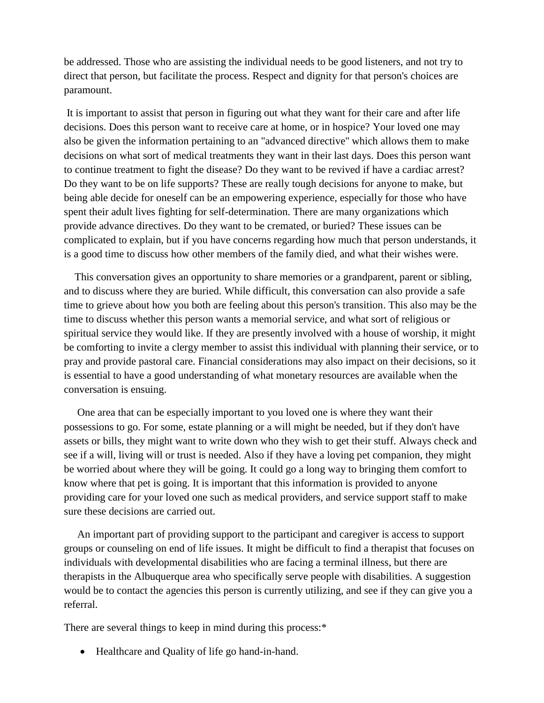be addressed. Those who are assisting the individual needs to be good listeners, and not try to direct that person, but facilitate the process. Respect and dignity for that person's choices are paramount.

It is important to assist that person in figuring out what they want for their care and after life decisions. Does this person want to receive care at home, or in hospice? Your loved one may also be given the information pertaining to an "advanced directive'' which allows them to make decisions on what sort of medical treatments they want in their last days. Does this person want to continue treatment to fight the disease? Do they want to be revived if have a cardiac arrest? Do they want to be on life supports? These are really tough decisions for anyone to make, but being able decide for oneself can be an empowering experience, especially for those who have spent their adult lives fighting for self-determination. There are many organizations which provide advance directives. Do they want to be cremated, or buried? These issues can be complicated to explain, but if you have concerns regarding how much that person understands, it is a good time to discuss how other members of the family died, and what their wishes were.

 This conversation gives an opportunity to share memories or a grandparent, parent or sibling, and to discuss where they are buried. While difficult, this conversation can also provide a safe time to grieve about how you both are feeling about this person's transition. This also may be the time to discuss whether this person wants a memorial service, and what sort of religious or spiritual service they would like. If they are presently involved with a house of worship, it might be comforting to invite a clergy member to assist this individual with planning their service, or to pray and provide pastoral care. Financial considerations may also impact on their decisions, so it is essential to have a good understanding of what monetary resources are available when the conversation is ensuing.

 One area that can be especially important to you loved one is where they want their possessions to go. For some, estate planning or a will might be needed, but if they don't have assets or bills, they might want to write down who they wish to get their stuff. Always check and see if a will, living will or trust is needed. Also if they have a loving pet companion, they might be worried about where they will be going. It could go a long way to bringing them comfort to know where that pet is going. It is important that this information is provided to anyone providing care for your loved one such as medical providers, and service support staff to make sure these decisions are carried out.

 An important part of providing support to the participant and caregiver is access to support groups or counseling on end of life issues. It might be difficult to find a therapist that focuses on individuals with developmental disabilities who are facing a terminal illness, but there are therapists in the Albuquerque area who specifically serve people with disabilities. A suggestion would be to contact the agencies this person is currently utilizing, and see if they can give you a referral.

There are several things to keep in mind during this process:\*

• Healthcare and Quality of life go hand-in-hand.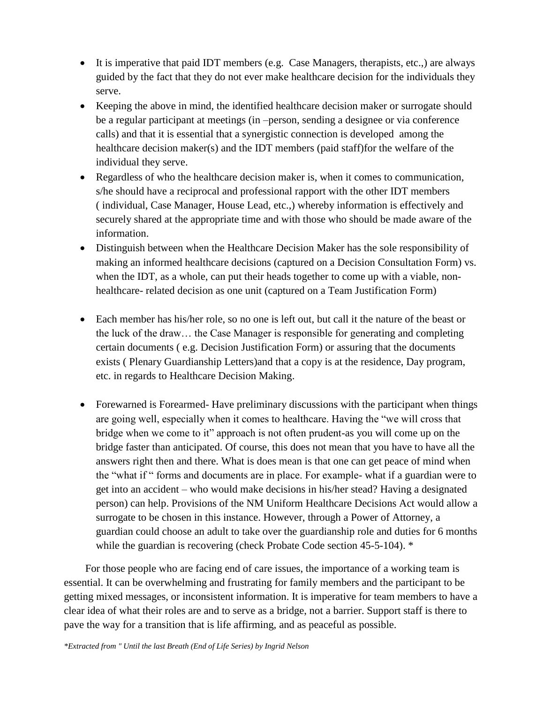- It is imperative that paid IDT members (e.g. Case Managers, therapists, etc.,) are always guided by the fact that they do not ever make healthcare decision for the individuals they serve.
- Keeping the above in mind, the identified healthcare decision maker or surrogate should be a regular participant at meetings (in –person, sending a designee or via conference calls) and that it is essential that a synergistic connection is developed among the healthcare decision maker(s) and the IDT members (paid staff)for the welfare of the individual they serve.
- Regardless of who the healthcare decision maker is, when it comes to communication, s/he should have a reciprocal and professional rapport with the other IDT members ( individual, Case Manager, House Lead, etc.,) whereby information is effectively and securely shared at the appropriate time and with those who should be made aware of the information.
- Distinguish between when the Healthcare Decision Maker has the sole responsibility of making an informed healthcare decisions (captured on a Decision Consultation Form) vs. when the IDT, as a whole, can put their heads together to come up with a viable, nonhealthcare- related decision as one unit (captured on a Team Justification Form)
- Each member has his/her role, so no one is left out, but call it the nature of the beast or the luck of the draw… the Case Manager is responsible for generating and completing certain documents ( e.g. Decision Justification Form) or assuring that the documents exists ( Plenary Guardianship Letters)and that a copy is at the residence, Day program, etc. in regards to Healthcare Decision Making.
- Forewarned is Forearmed- Have preliminary discussions with the participant when things are going well, especially when it comes to healthcare. Having the "we will cross that bridge when we come to it" approach is not often prudent-as you will come up on the bridge faster than anticipated. Of course, this does not mean that you have to have all the answers right then and there. What is does mean is that one can get peace of mind when the "what if " forms and documents are in place. For example- what if a guardian were to get into an accident – who would make decisions in his/her stead? Having a designated person) can help. Provisions of the NM Uniform Healthcare Decisions Act would allow a surrogate to be chosen in this instance. However, through a Power of Attorney, a guardian could choose an adult to take over the guardianship role and duties for 6 months while the guardian is recovering (check Probate Code section 45-5-104). \*

 For those people who are facing end of care issues, the importance of a working team is essential. It can be overwhelming and frustrating for family members and the participant to be getting mixed messages, or inconsistent information. It is imperative for team members to have a clear idea of what their roles are and to serve as a bridge, not a barrier. Support staff is there to pave the way for a transition that is life affirming, and as peaceful as possible.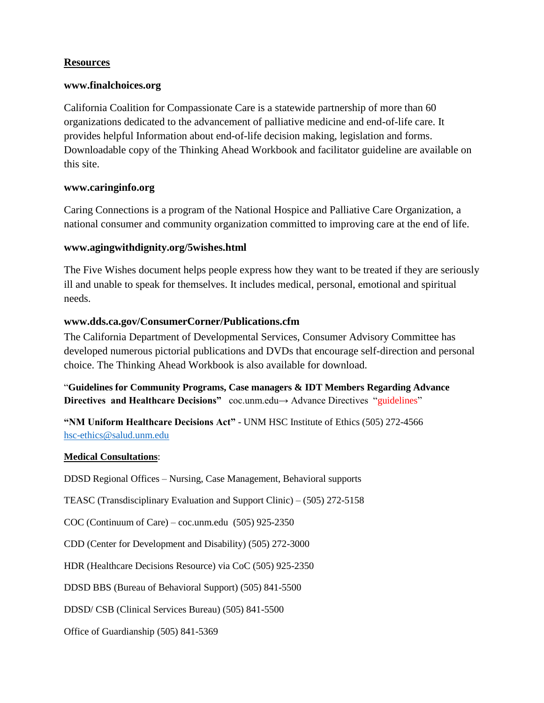## **Resources**

#### **www.finalchoices.org**

California Coalition for Compassionate Care is a statewide partnership of more than 60 organizations dedicated to the advancement of palliative medicine and end-of-life care. It provides helpful Information about end-of-life decision making, legislation and forms. Downloadable copy of the Thinking Ahead Workbook and facilitator guideline are available on this site.

## **www.caringinfo.org**

Caring Connections is a program of the National Hospice and Palliative Care Organization, a national consumer and community organization committed to improving care at the end of life.

## **www.agingwithdignity.org/5wishes.html**

The Five Wishes document helps people express how they want to be treated if they are seriously ill and unable to speak for themselves. It includes medical, personal, emotional and spiritual needs.

## **www.dds.ca.gov/ConsumerCorner/Publications.cfm**

The California Department of Developmental Services, Consumer Advisory Committee has developed numerous pictorial publications and DVDs that encourage self-direction and personal choice. The Thinking Ahead Workbook is also available for download.

"**Guidelines for Community Programs, Case managers & IDT Members Regarding Advance**  Directives and Healthcare Decisions" coc.unm.edu→ Advance Directives "guidelines"

**"NM Uniform Healthcare Decisions Act"** - UNM HSC Institute of Ethics (505) 272-4566 [hsc-ethics@salud.unm.edu](mailto:hsc-ethics@salud.unm.edu)

#### **Medical Consultations**:

DDSD Regional Offices – Nursing, Case Management, Behavioral supports

TEASC (Transdisciplinary Evaluation and Support Clinic) – (505) 272-5158

COC (Continuum of Care) – coc.unm.edu (505) 925-2350

CDD (Center for Development and Disability) (505) 272-3000

HDR (Healthcare Decisions Resource) via CoC (505) 925-2350

DDSD BBS (Bureau of Behavioral Support) (505) 841-5500

DDSD/ CSB (Clinical Services Bureau) (505) 841-5500

Office of Guardianship (505) 841-5369